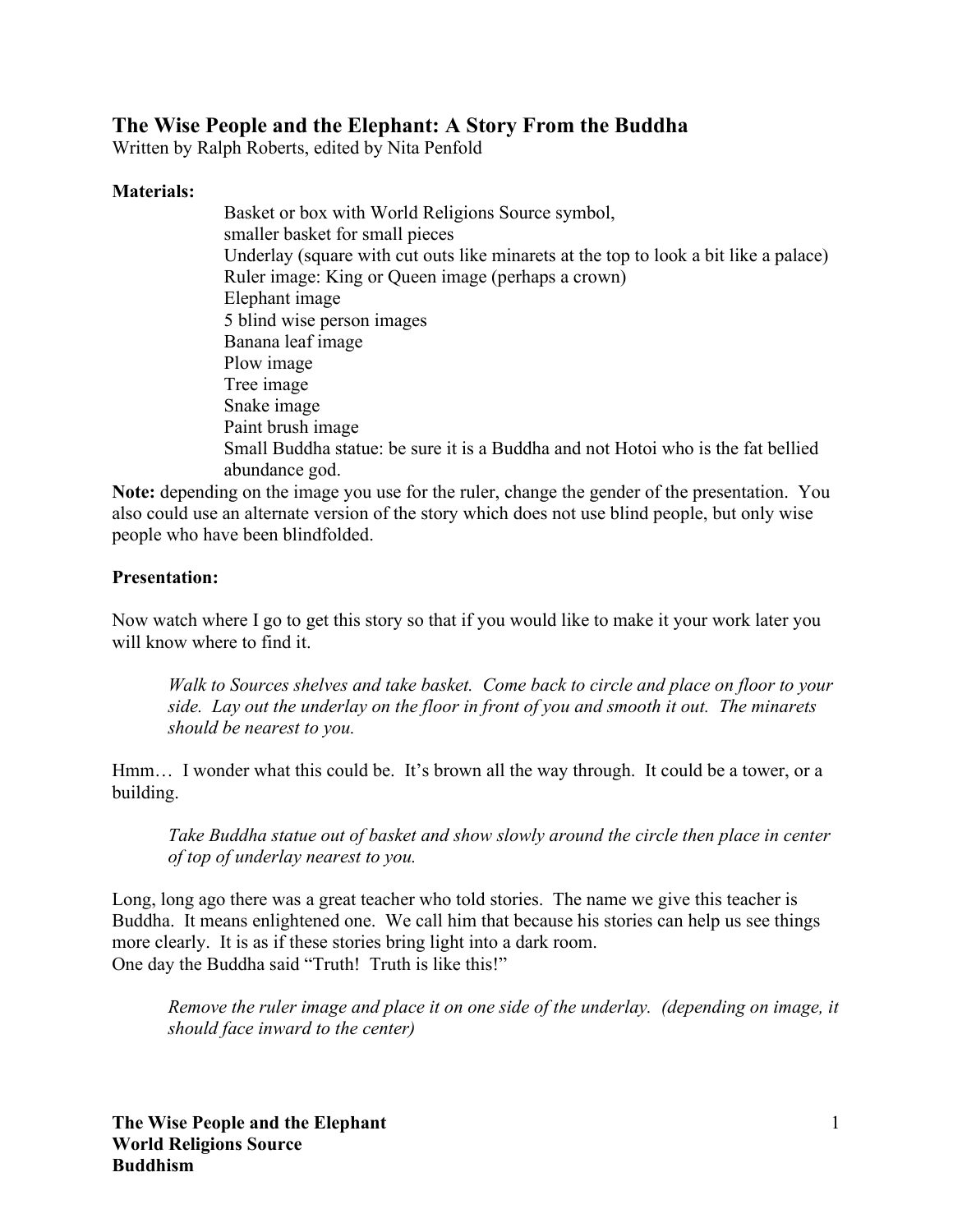# **The Wise People and the Elephant: A Story From the Buddha**

Written by Ralph Roberts, edited by Nita Penfold

#### **Materials:**

Basket or box with World Religions Source symbol, smaller basket for small pieces Underlay (square with cut outs like minarets at the top to look a bit like a palace) Ruler image: King or Queen image (perhaps a crown) Elephant image 5 blind wise person images Banana leaf image Plow image Tree image Snake image Paint brush image Small Buddha statue: be sure it is a Buddha and not Hotoi who is the fat bellied abundance god.

**Note:** depending on the image you use for the ruler, change the gender of the presentation. You also could use an alternate version of the story which does not use blind people, but only wise people who have been blindfolded.

## **Presentation:**

Now watch where I go to get this story so that if you would like to make it your work later you will know where to find it.

*Walk to Sources shelves and take basket. Come back to circle and place on floor to your side. Lay out the underlay on the floor in front of you and smooth it out. The minarets should be nearest to you.* 

Hmm… I wonder what this could be. It's brown all the way through. It could be a tower, or a building.

*Take Buddha statue out of basket and show slowly around the circle then place in center of top of underlay nearest to you.* 

Long, long ago there was a great teacher who told stories. The name we give this teacher is Buddha. It means enlightened one. We call him that because his stories can help us see things more clearly. It is as if these stories bring light into a dark room. One day the Buddha said "Truth! Truth is like this!"

*Remove the ruler image and place it on one side of the underlay. (depending on image, it should face inward to the center)* 

**The Wise People and the Elephant World Religions Source Buddhism**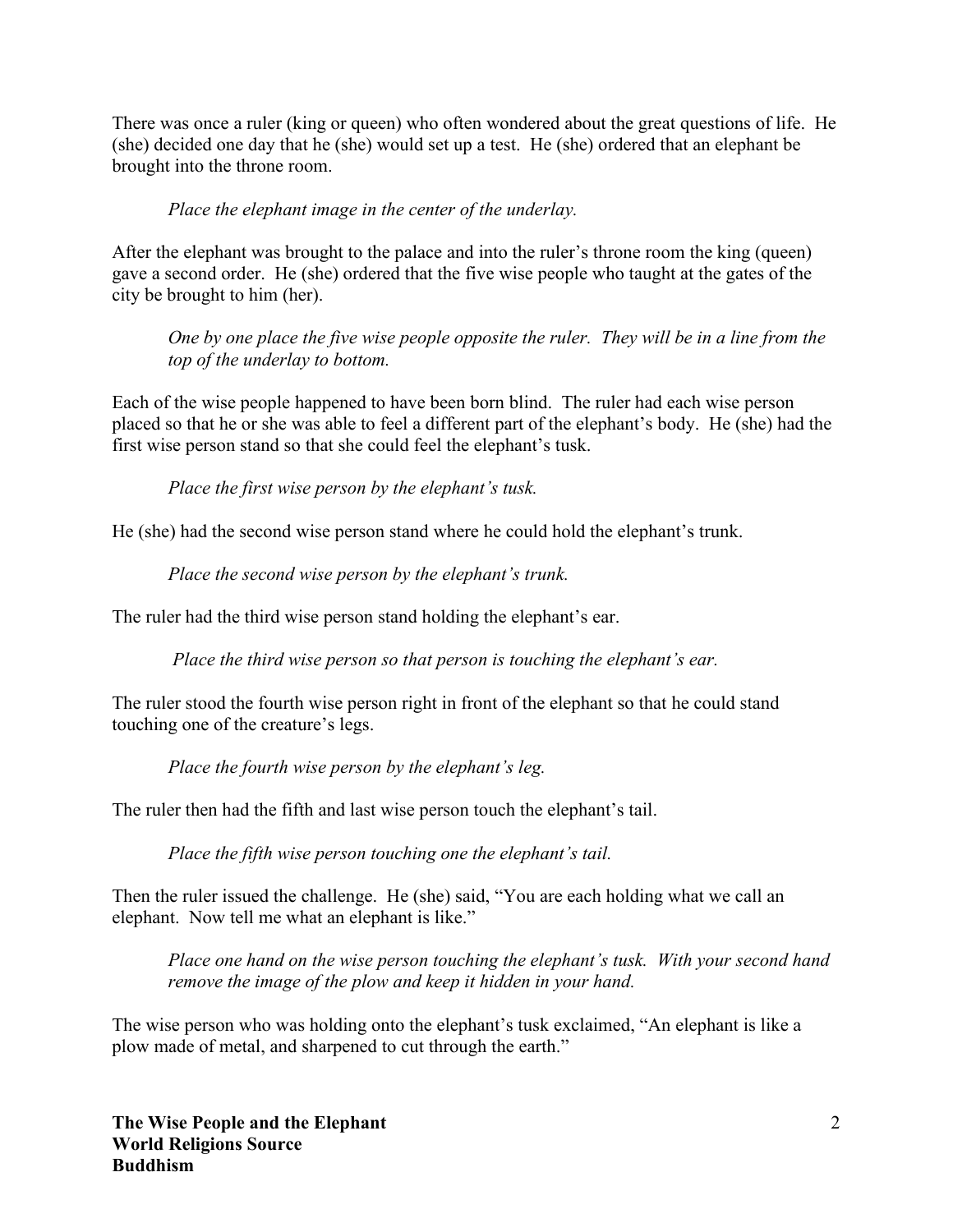There was once a ruler (king or queen) who often wondered about the great questions of life. He (she) decided one day that he (she) would set up a test. He (she) ordered that an elephant be brought into the throne room.

## *Place the elephant image in the center of the underlay.*

After the elephant was brought to the palace and into the ruler's throne room the king (queen) gave a second order. He (she) ordered that the five wise people who taught at the gates of the city be brought to him (her).

*One by one place the five wise people opposite the ruler. They will be in a line from the top of the underlay to bottom.* 

Each of the wise people happened to have been born blind. The ruler had each wise person placed so that he or she was able to feel a different part of the elephant's body. He (she) had the first wise person stand so that she could feel the elephant's tusk.

*Place the first wise person by the elephant's tusk.* 

He (she) had the second wise person stand where he could hold the elephant's trunk.

*Place the second wise person by the elephant's trunk.* 

The ruler had the third wise person stand holding the elephant's ear.

*Place the third wise person so that person is touching the elephant's ear.* 

The ruler stood the fourth wise person right in front of the elephant so that he could stand touching one of the creature's legs.

*Place the fourth wise person by the elephant's leg.* 

The ruler then had the fifth and last wise person touch the elephant's tail.

*Place the fifth wise person touching one the elephant's tail.* 

Then the ruler issued the challenge. He (she) said, "You are each holding what we call an elephant. Now tell me what an elephant is like."

*Place one hand on the wise person touching the elephant's tusk. With your second hand remove the image of the plow and keep it hidden in your hand.* 

The wise person who was holding onto the elephant's tusk exclaimed, "An elephant is like a plow made of metal, and sharpened to cut through the earth."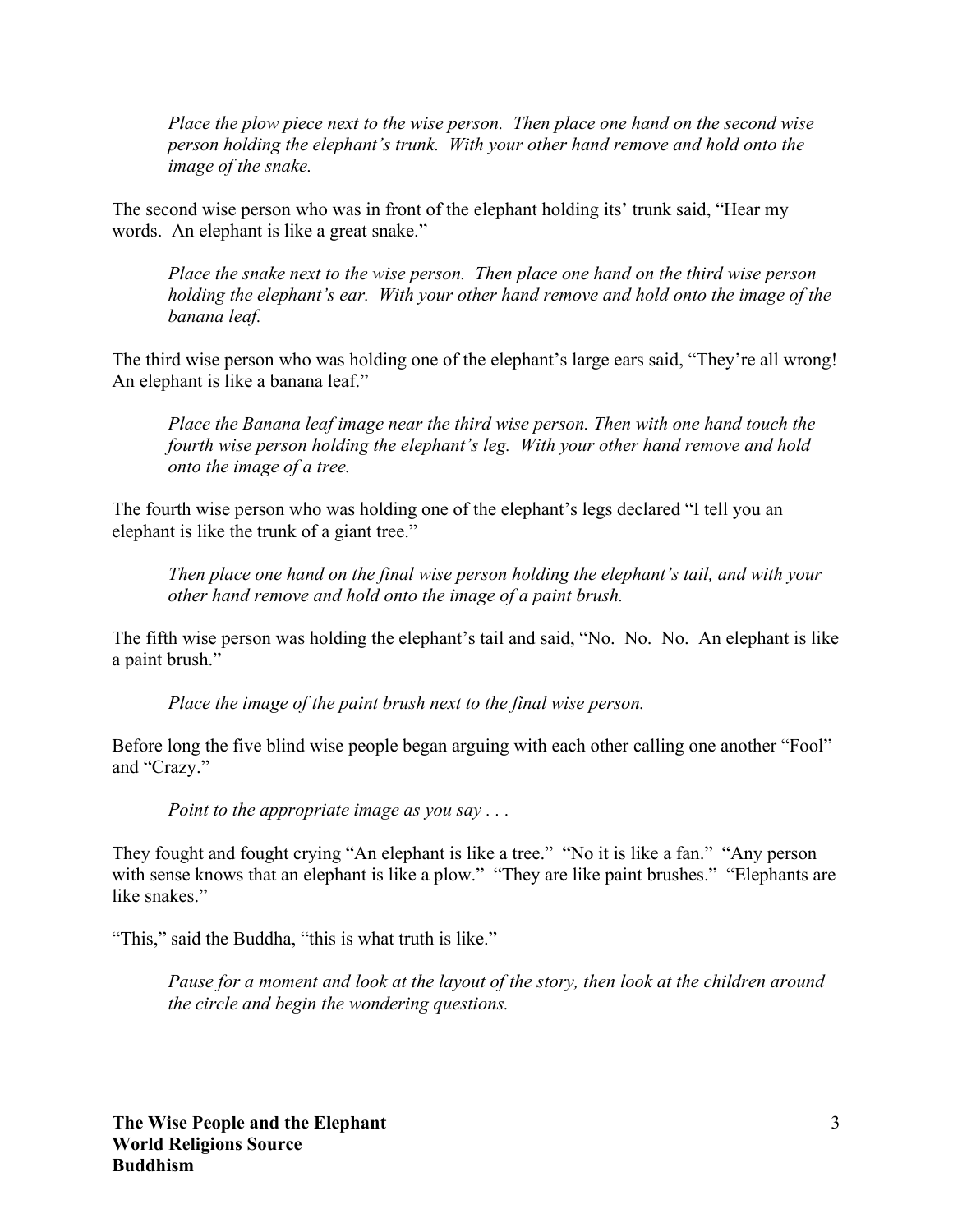*Place the plow piece next to the wise person. Then place one hand on the second wise person holding the elephant's trunk. With your other hand remove and hold onto the image of the snake.* 

The second wise person who was in front of the elephant holding its' trunk said, "Hear my words. An elephant is like a great snake."

*Place the snake next to the wise person. Then place one hand on the third wise person holding the elephant's ear. With your other hand remove and hold onto the image of the banana leaf.* 

The third wise person who was holding one of the elephant's large ears said, "They're all wrong! An elephant is like a banana leaf."

*Place the Banana leaf image near the third wise person. Then with one hand touch the fourth wise person holding the elephant's leg. With your other hand remove and hold onto the image of a tree.* 

The fourth wise person who was holding one of the elephant's legs declared "I tell you an elephant is like the trunk of a giant tree."

*Then place one hand on the final wise person holding the elephant's tail, and with your other hand remove and hold onto the image of a paint brush.* 

The fifth wise person was holding the elephant's tail and said, "No. No. No. An elephant is like a paint brush."

*Place the image of the paint brush next to the final wise person.* 

Before long the five blind wise people began arguing with each other calling one another "Fool" and "Crazy."

*Point to the appropriate image as you say . . .* 

They fought and fought crying "An elephant is like a tree." "No it is like a fan." "Any person with sense knows that an elephant is like a plow." "They are like paint brushes." "Elephants are like snakes."

"This," said the Buddha, "this is what truth is like."

*Pause for a moment and look at the layout of the story, then look at the children around the circle and begin the wondering questions.*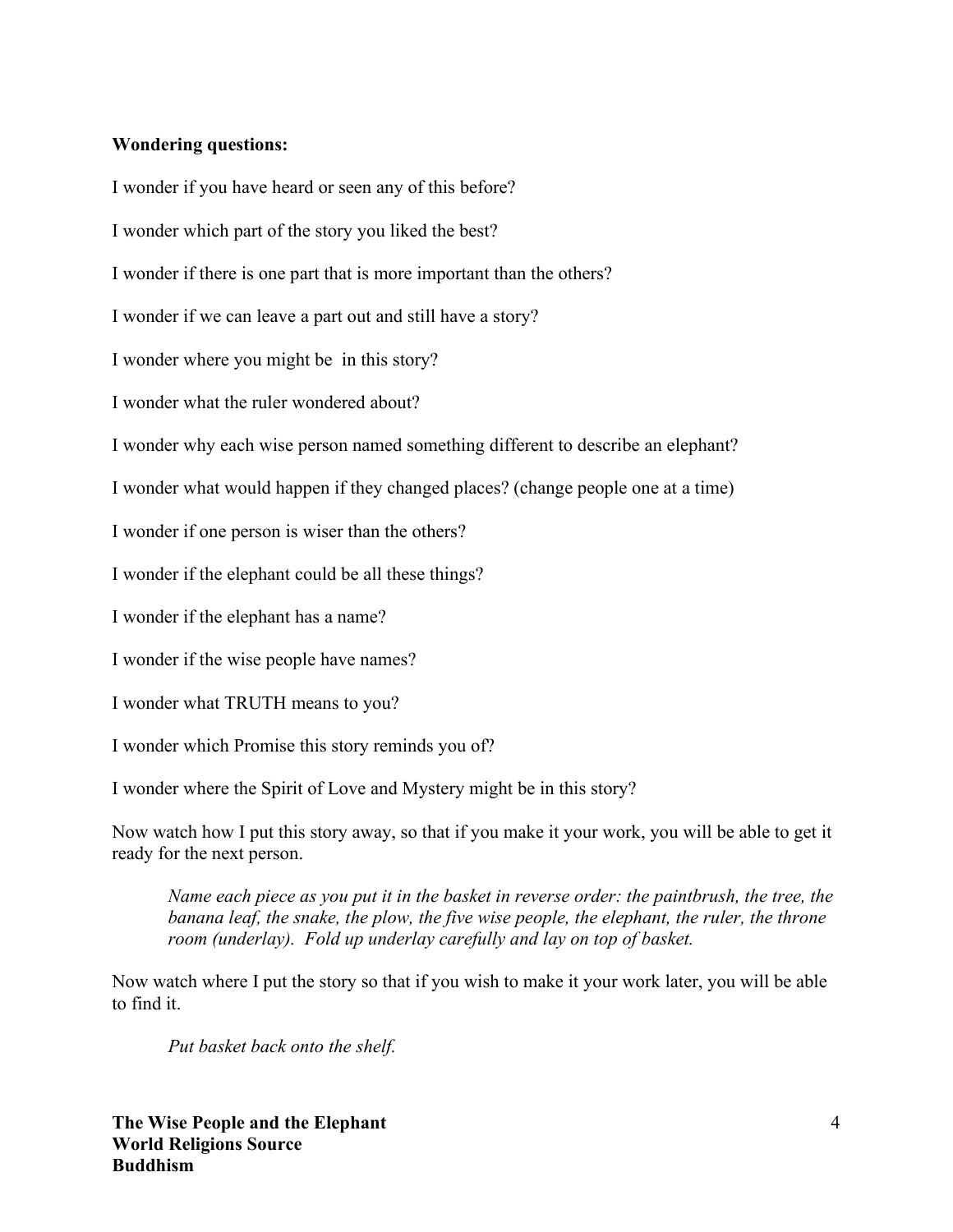### **Wondering questions:**

I wonder if you have heard or seen any of this before?

I wonder which part of the story you liked the best?

I wonder if there is one part that is more important than the others?

I wonder if we can leave a part out and still have a story?

I wonder where you might be in this story?

I wonder what the ruler wondered about?

I wonder why each wise person named something different to describe an elephant?

I wonder what would happen if they changed places? (change people one at a time)

I wonder if one person is wiser than the others?

I wonder if the elephant could be all these things?

I wonder if the elephant has a name?

I wonder if the wise people have names?

I wonder what TRUTH means to you?

I wonder which Promise this story reminds you of?

I wonder where the Spirit of Love and Mystery might be in this story?

Now watch how I put this story away, so that if you make it your work, you will be able to get it ready for the next person.

*Name each piece as you put it in the basket in reverse order: the paintbrush, the tree, the banana leaf, the snake, the plow, the five wise people, the elephant, the ruler, the throne room (underlay). Fold up underlay carefully and lay on top of basket.* 

Now watch where I put the story so that if you wish to make it your work later, you will be able to find it.

*Put basket back onto the shelf.* 

**The Wise People and the Elephant World Religions Source Buddhism**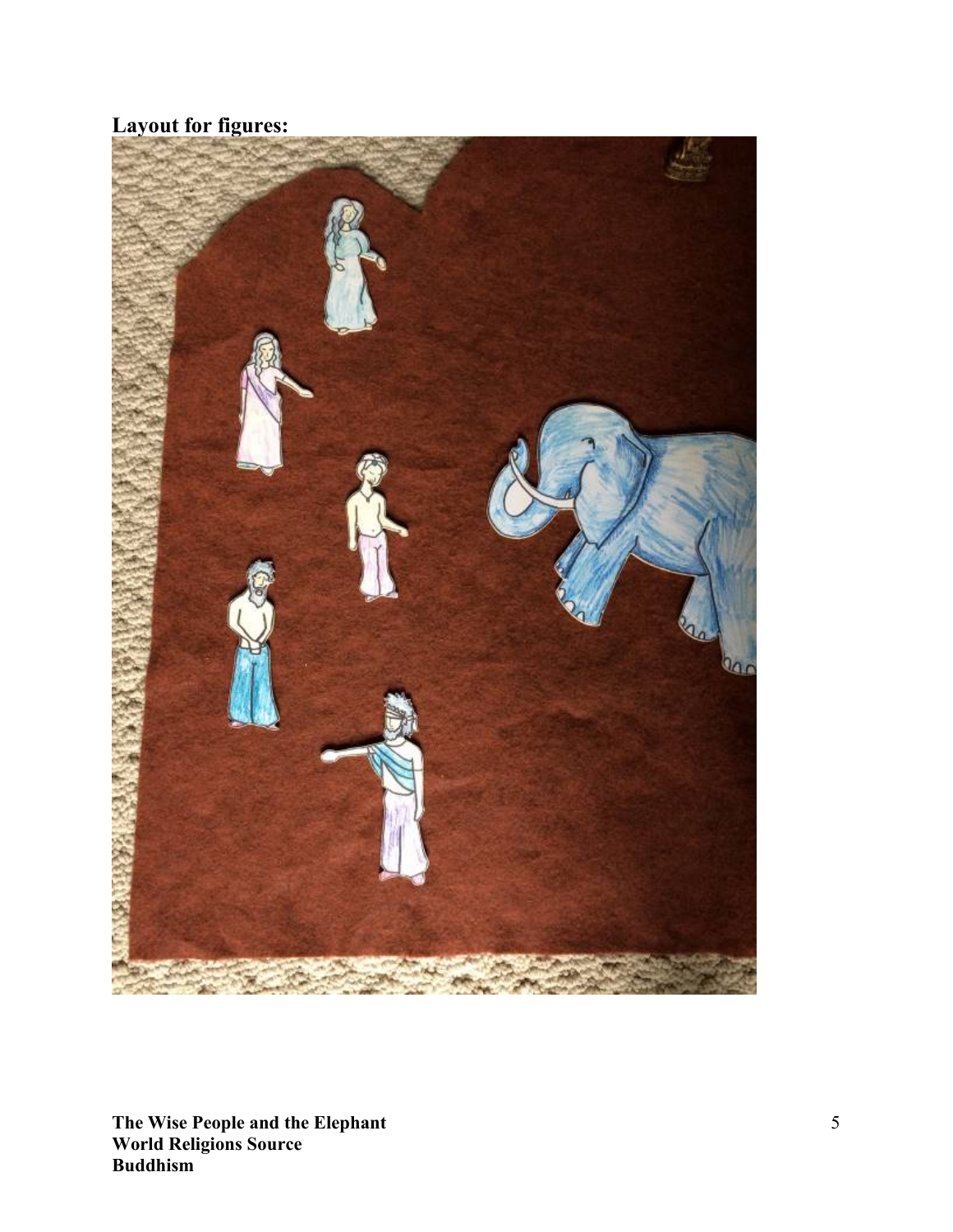**Layout for figures:**



**The Wise People and the Elephant World Religions Source Buddhism**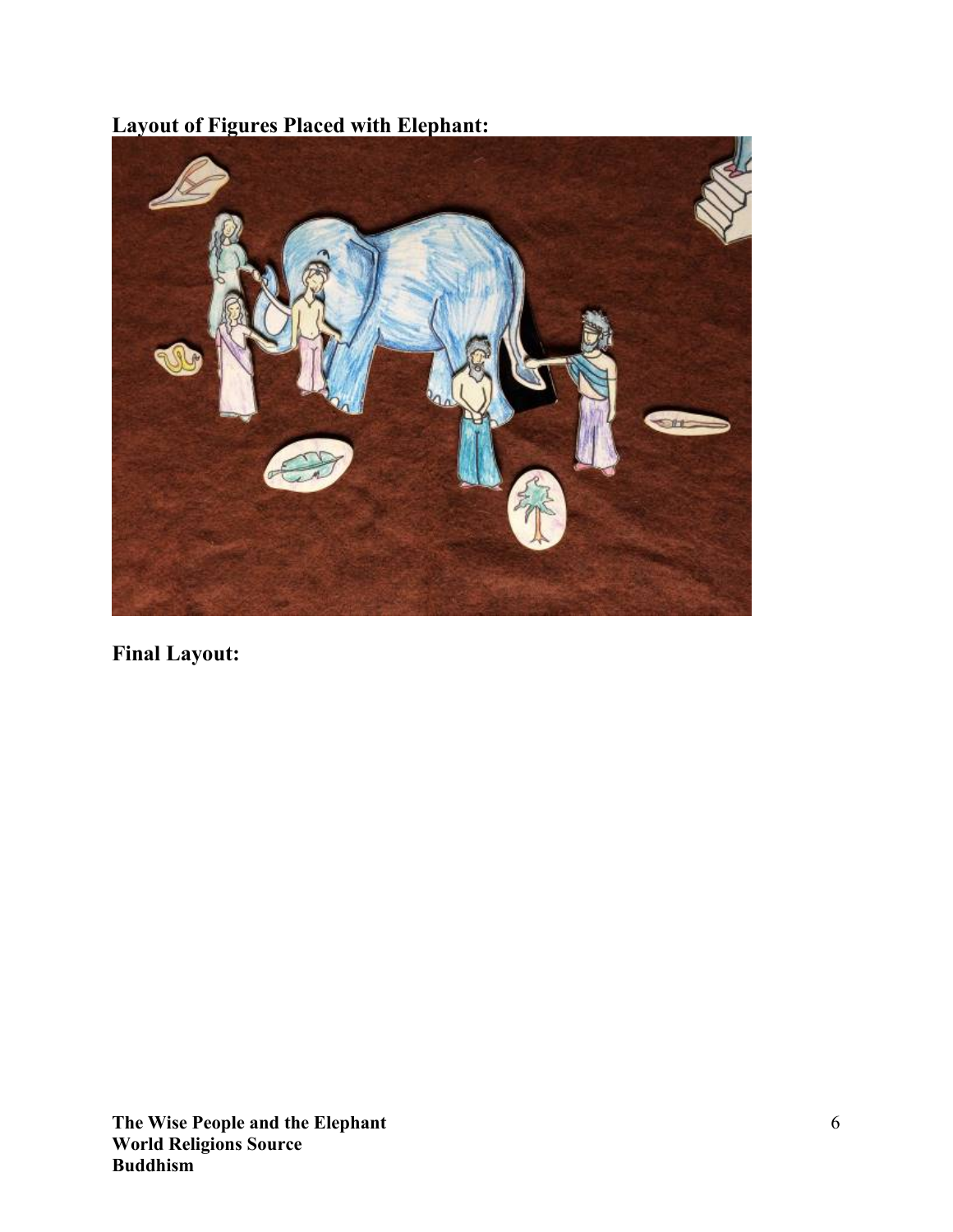**Layout of Figures Placed with Elephant:**



**Final Layout:**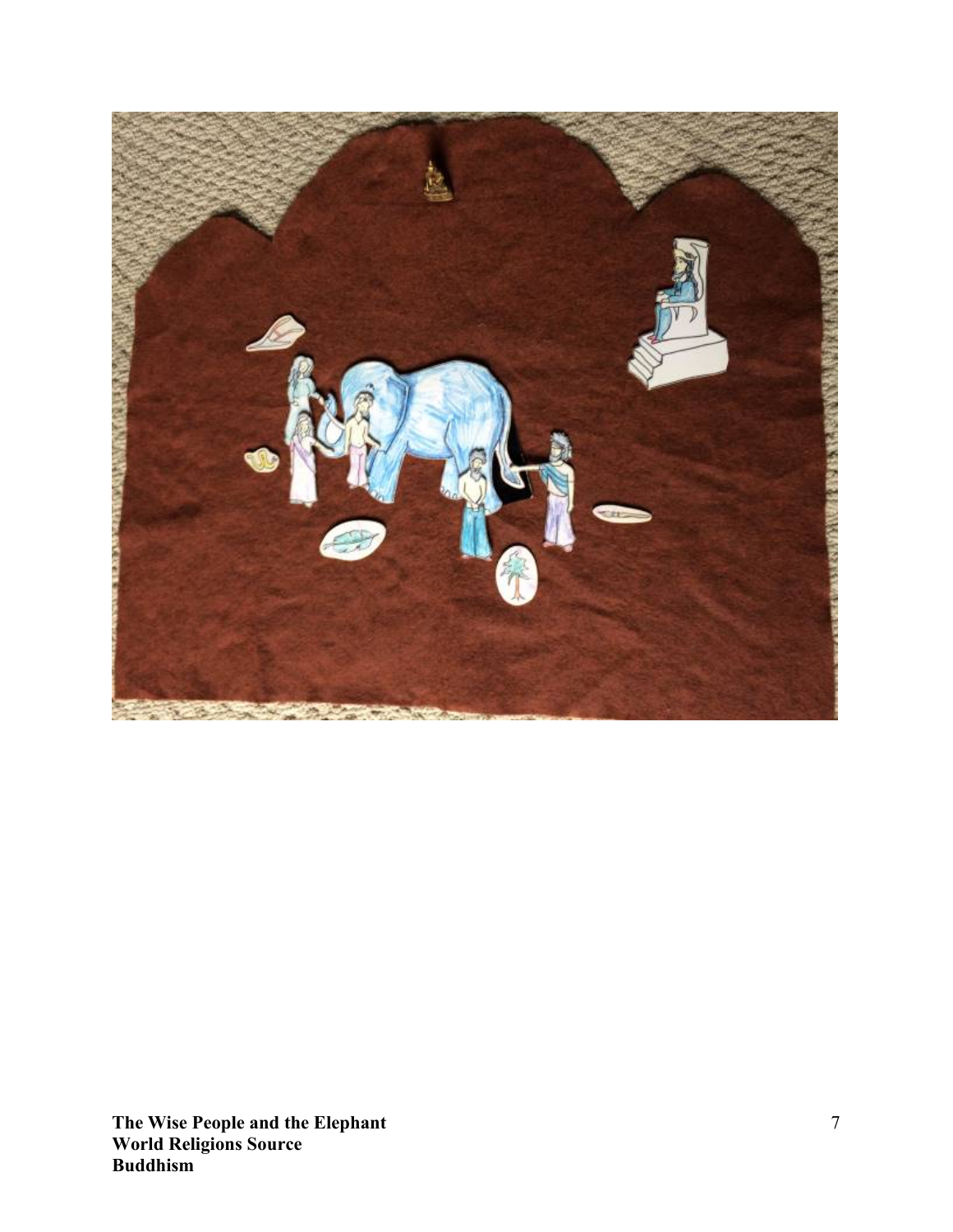